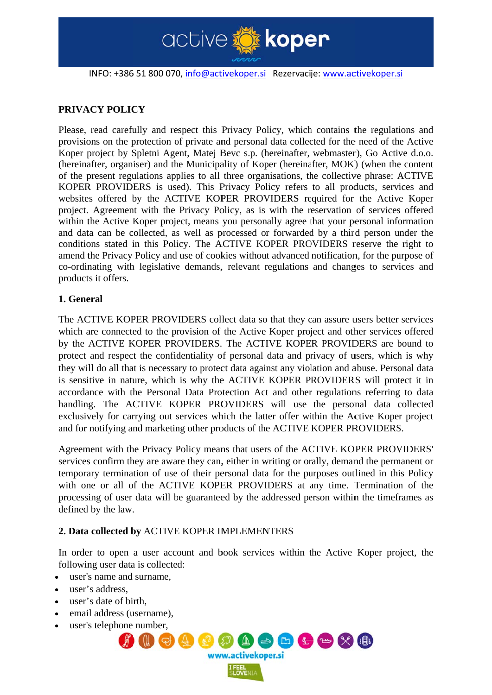

INFO: +386 51 800 070, info@activekoper.si Rezervacije: www.activekoper.si

# PRIVACY POLICY

Please, read carefully and respect this Privacy Policy, which contains the regulations and provisions on the protection of private and personal data collected for the need of the Active Koper project by Spletni Agent, Matej Bevc s.p. (hereinafter, webmaster), Go Active d.o.o. (hereinafter, organiser) and the Municipality of Koper (hereinafter, MOK) (when the content of the present regulations applies to all three organisations, the collective phrase: ACTIVE KOPER PROVIDERS is used). This Privacy Policy refers to all products, services and websites offered by the ACTIVE KOPER PROVIDERS required for the Active Koper project. Agreement with the Privacy Policy, as is with the reservation of services offered within the Active Koper project, means you personally agree that your personal information and data can be collected, as well as processed or forwarded by a third person under the conditions stated in this Policy. The ACTIVE KOPER PROVIDERS reserve the right to amend the Privacy Policy and use of cookies without advanced notification, for the purpose of co-ordinating with legislative demands, relevant regulations and changes to services and products it offers.

# 1. General

The ACTIVE KOPER PROVIDERS collect data so that they can assure users better services which are connected to the provision of the Active Koper project and other services offered by the ACTIVE KOPER PROVIDERS. The ACTIVE KOPER PROVIDERS are bound to protect and respect the confidentiality of personal data and privacy of users, which is why they will do all that is necessary to protect data against any violation and abuse. Personal data is sensitive in nature, which is why the ACTIVE KOPER PROVIDERS will protect it in accordance with the Personal Data Protection Act and other regulations referring to data handling. The ACTIVE KOPER PROVIDERS will use the personal data collected exclusively for carrying out services which the latter offer within the Active Koper project and for notifying and marketing other products of the ACTIVE KOPER PROVIDERS.

Agreement with the Privacy Policy means that users of the ACTIVE KOPER PROVIDERS' services confirm they are aware they can, either in writing or orally, demand the permanent or temporary termination of use of their personal data for the purposes outlined in this Policy with one or all of the ACTIVE KOPER PROVIDERS at any time. Termination of the processing of user data will be guaranteed by the addressed person within the timeframes as defined by the law.

# 2. Data collected by ACTIVE KOPER IMPLEMENTERS

In order to open a user account and book services within the Active Koper project, the following user data is collected:

- user's name and surname.
- user's address.
- user's date of birth.
- email address (username),
- user's telephone number.